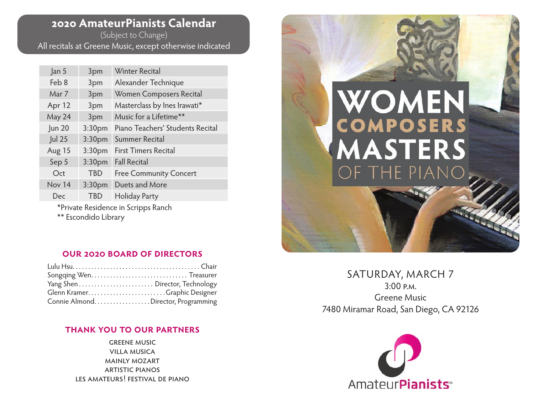## **2020 AmateurPianists Calendar**

(Subject to Change) All recitals at Greene Music, except otherwise indicated

| Jan 5                                                       | 3pm                | <b>Winter Recital</b>            |
|-------------------------------------------------------------|--------------------|----------------------------------|
| Feb 8                                                       | 3pm                | Alexander Technique              |
| Mar 7                                                       | 3pm                | Women Composers Recital          |
| Apr 12                                                      | 3pm                | Masterclass by Ines Irawati*     |
| May 24                                                      | 3pm                | Music for a Lifetime**           |
| <b>Jun 20</b>                                               | 3:30 <sub>pm</sub> | Piano Teachers' Students Recital |
| <b>Jul 25</b>                                               | 3:30 <sub>pm</sub> | Summer Recital                   |
| Aug 15                                                      | 3:30 <sub>pm</sub> | <b>First Timers Recital</b>      |
| Sep 5                                                       | 3:30 <sub>pm</sub> | <b>Fall Recital</b>              |
| Oct                                                         | TBD                | <b>Free Community Concert</b>    |
| Nov 14                                                      | 3:30 <sub>pm</sub> | Duets and More                   |
| Dec                                                         | <b>TBD</b>         | <b>Holiday Party</b>             |
| *Private Residence in Scripps Ranch<br>** Escondido Library |                    |                                  |

## **our 2020 board of directors**

| Glenn KramerGraphic Designer       |  |
|------------------------------------|--|
| Connie AlmondDirector, Programming |  |

## **thank you to our partners**

greene music villa musica mainly mozart artistic pianos les amateurs! festival de piano



SATURDAY, MARCH 7 3:00 p.m. Greene Music 7480 Miramar Road, San Diego, CA 92126